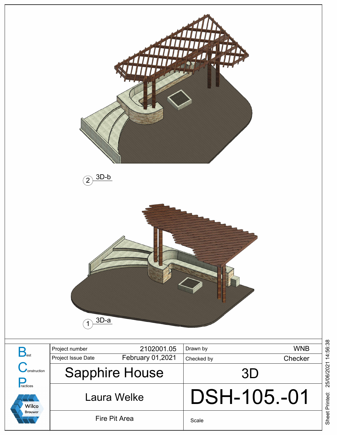

Sheet Printed: 25/06/2021 14:56:38 Sheet Printed: 25/06/2021 14:56:38

Scale

Laura Welke

Wilco **Brouwer** 

Fire Pit Area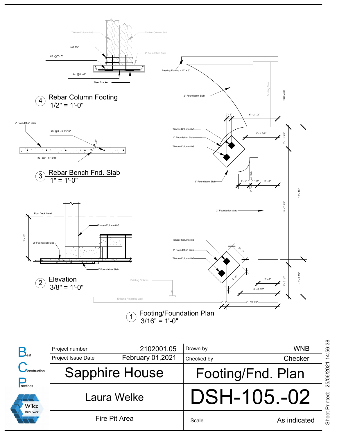

|                                                                                                |                       |                         |                   | <b>WNB</b>   |
|------------------------------------------------------------------------------------------------|-----------------------|-------------------------|-------------------|--------------|
| $\bigtriangledown_{\textrm{est}}$<br>onstruction<br>ractices<br><b>Wilco</b><br><b>Brouwer</b> | Project number        | 2102001.05              | Drawn by          |              |
|                                                                                                | Project Issue Date    | <b>February 01,2021</b> | Checked by        | Checker      |
|                                                                                                | <b>Sapphire House</b> |                         | Footing/Fnd. Plan |              |
|                                                                                                | Laura Welke           |                         | DSH-105.-02       |              |
|                                                                                                |                       | Fire Pit Area           | Scale             | As indicated |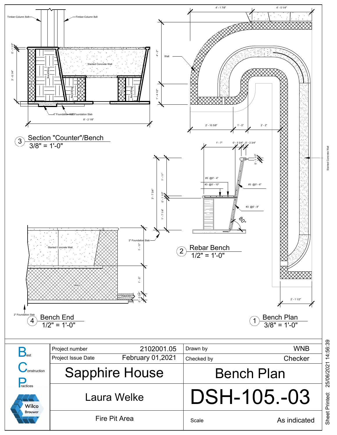

Sheet Printed: 25/06/2021 14:56:39 25/06/2021 14:56:39 Sheet Printed: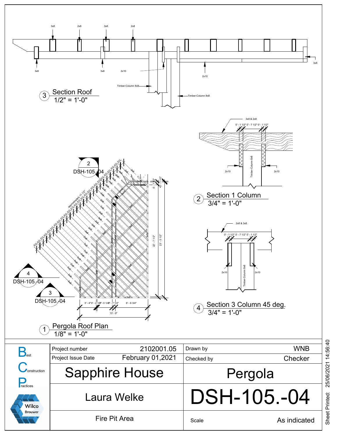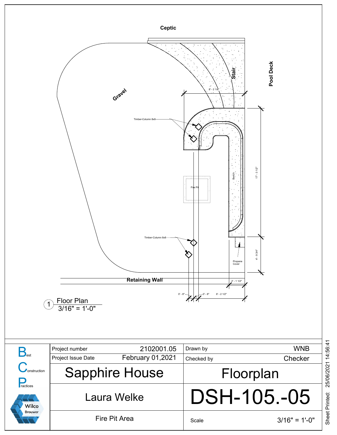

Sheet Printed: 25/06/2021 14:56:41 25/06/2021 14:56:41 Sheet Printed: